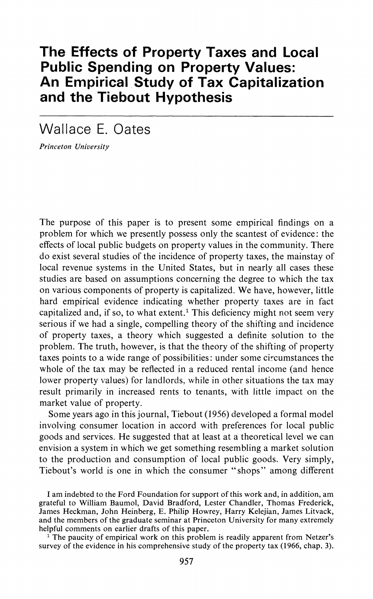# **The Effects of Property Taxes and Local Public Spending on Property Values: An Empirical Study of Tax Capitalization and the Tiebout Hypothesis**

# Wallace E. Oates

*Princeton Unicersity* 

The purpose of this paper is to present some empirical findings on a problem for which we presently possess only the scantest of evidence: the effects of local public budgets on property values in the community. There do exist several studies of the incidence of property taxes, the mainstay of local revenue systems in the United States, but in nearly all cases these studies are based on assumptions concerning the degree to which the tax on various components of property is capitalized. We have, however, little hard empirical evidence indicating whether property taxes are in fact capitalized and, if so, to what extent.<sup>1</sup> This deficiency might not seem very serious if we had a single, compelling theory of the shifting and incidence of property taxes, a theory which suggested a definite solution to the problem. The truth, however, is that the theory of the shifting of property taxes points to a wide range of possibilities: under some circumstances the whole of the tax may be reflected in a reduced rental income (and hence lower property values) for landlords, while in other situations the tax may result primarily in increased rents to tenants, with little impact on the market value of property.

Some years ago in this journal, Tiebout (1956) developed a formal model involving consumer location in accord with preferences for local public goods and services. He suggested that at least at a theoretical level we can envision a system in which we get something resembling a market solution to the production and consumption of local public goods. Very simply, Tiebout's world is one in which the consumer "shops" among different

I am indebted to the Ford Foundation for support of this work and, in addition, am grateful to William Baumol, David Bradford, Lester Chandler, Thomas Frederick, James Heckman, John Heinberg, E. Philip Howrey, Harry Kelejian, James Litvack, and the members of the graduate seminar at Princeton University for many extremely helpful comments on earlier drafts of this paper.

 $<sup>1</sup>$  The paucity of empirical work on this problem is readily apparent from Netzer's</sup> survey of the evidence in his comprehensive study of the property tax (1966, chap. **3).**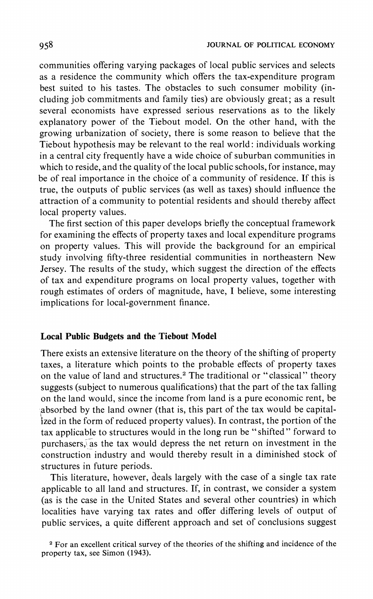communities offering varying packages of local public services and selects as a residence the community which offers the tax-expenditure program best suited to his tastes. The obstacles to such consumer mobility (including job commitments and family ties) are obviously great; as a result several economists have expressed serious reservations as to the likely explanatory power of the Tiebout model. On the other hand, with the growing urbanization of society, there is some reason to believe that the Tiebout hypothesis may be relevant to the real world: individuals working in a central city frequently have a wide choice of suburban communities in which to reside, and the quality of the local public schools, for instance, may be of real importance in the choice of a community of residence. If this is true, the outputs of public services (as well as taxes) should influence the attraction of a community to potential residents and should thereby affect local property values.

The first section of this paper develops briefly the conceptual framework for examining the effects of property taxes and local expenditure programs on property values. This will provide the background for an empirical study involving fifty-three residential communities in northeastern New Jersey. The results of the study, which suggest the direction of the effects of tax and expenditure programs on local property values, together with rough estimates of orders of magnitude, have, I believe, some interesting implications for local-government finance.

### **Local Public Budgets and the Tiebout Model**

There exists an extensive literature on the theory of the shifting of property taxes, a literature which points to the probable effects of property taxes on the value of land and structures.<sup>2</sup> The traditional or "classical" theory suggests (subject to numerous qualifications) that the part of the tax falling on the land would, since the income from land is a pure economic rent, be absorbed by the land owner (that is, this part of the tax would be capitalized in the form of reduced property values). In contrast, the portion of the tax applicable to structures would in the long run be "shifted" forward to purchasers, as the tax would depress the net return on investment in the construction industry and would thereby result in a diminished stock of structures in future periods.

This literature, however, deals largely with the case of a single tax rate applicable to all land and structures. If, in contrast, we consider a system (as is the case in the United States and several other countries) in which localities have varying tax rates and offer differing levels of output of public services, a quite different approach and set of conclusions suggest

<sup>&</sup>lt;sup>2</sup> For an excellent critical survey of the theories of the shifting and incidence of the property tax, see Simon (1943).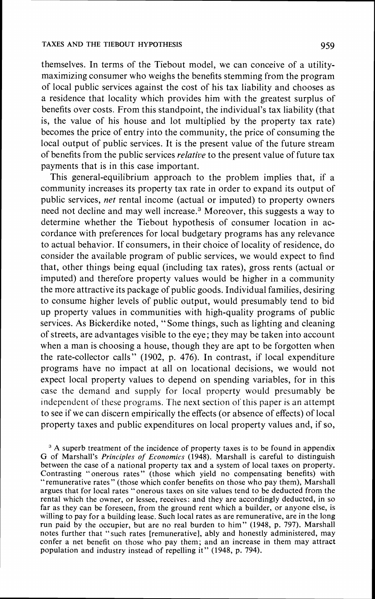themselves. In terms of the Tiebout model, we can conceive of a utilitymaximizing consumer who weighs the benefits stemming from the program of local public services against the cost of his tax liability and chooses as a residence that locality which provides him with the greatest surplus of benefits over costs. From this standpoint, the individual's tax liability (that is, the value of his house and lot multiplied by the property tax rate) becomes the price of entry into the community, the price of consuming the local output of public services. It is the present value of the future stream of benefits from the public services *relative* to the present value of future tax payments that is in this case important.

This general-equilibrium approach to the problem implies that, if a community increases its property tax rate in order to expand its output of public services, *net* rental income (actual or imputed) to property owners need not decline and may well increase.<sup>3</sup> Moreover, this suggests a way to determine whether the Tiebout hypothesis of consumer location in accordance with preferences for local budgetary programs has any relevance to actual behavior. If consumers, in their choice of locality of residence, do consider the available program of public services, we would expect to find that, other things being equal (including tax rates), gross rents (actual or imputed) and therefore property values would be higher in a community the more attractive its package of public goods. Individual families, desiring to consume higher levels of public output, would presumably tend to bid up property values in communities with high-quality programs of public services. As Bickerdike noted, "Some things, such as lighting and cleaning of streets, are advantages visible to the eye; they may be taken into account when a man is choosing a house, though they are apt to be forgotten when the rate-collector calls" (1902, p. 476). In contrast, if local expenditure programs have no impact at all on locational decisions, we would not expect local property values to depend on spending variables, for in this case the demand and supply for local property would presumably be independent of these programs. The next section of this paper is an attempt to see if we can discern empirically the effects (or absence of effects) of local property taxes and public expenditures on local property values and, if so,

<sup>&</sup>lt;sup>3</sup> A superb treatment of the incidence of property taxes is to be found in appendix G of Marshall's *Principles of Economics* (1948). Marshall is careful to distinguish between the case of a national property tax and a system of local taxes on property. Contrasting "onerous rates" (those which yield no compensating benefits) with "remunerative rates" (those which confer benefits on those who pay them), Marshall argues that for local rates "onerous taxes on site values tend to be deducted from the rental which the owner, or lessee, receives: and they are accordingly deducted, in so far as they can be foreseen, from the ground rent which a builder, or anyone else, is willing to pay for a building lease. Such local rates as are remunerative, are in the long run paid by the occupier, but are no real burden to him" (1948, p. 797). Marshall notes further that "such rates [remunerative], ably and honestly administered, may confer a net benefit on those who pay them; and an increase in them may attract population and industry instead of repelling it" (1948, p. 794).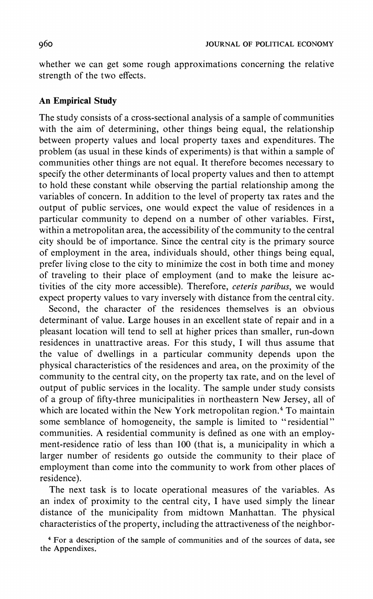whether we can get some rough approximations concerning the relative strength of the two effects.

### **An Empirical Study**

The study consists of a cross-sectional analysis of a sample of communities with the aim of determining, other things being equal, the relationship between property values and local property taxes and expenditures. The problem (as usual in these kinds of experiments) is that within a sample of communities other things are not equal. It therefore becomes necessary to specify the other determinants of local property values and then to attempt to hold these constant while observing the partial relationship among the variables of concern. In addition to the level of property tax rates and the output of public services, one would expect the value of residences in a particular community to depend on a number of other variables. First, within a metropolitan area, the accessibility of the community to the central city should be of importance. Since the central city is the primary source of employment in the area, individuals should, other things being equal, prefer living close to the city to minimize the cost in both time and money of traveling to their place of employment (and to make the leisure activities of the city more accessible). Therefore, *ceteris paribus,* we would expect property values to vary inversely with distance from the central city.

Second, the character of the residences themselves is an obvious determinant of value. Large houses in an excellent state of repair and in a pleasant location will tend to sell at higher prices than smaller, run-down residences in unattractive areas. For this study, I will thus assume that the value of dwellings in a particular community depends upon the physical characteristics of the residences and area, on the proximity of the community to the central city, on the property tax rate, and on the level of output of public services in the locality. The sample under study consists of a group of fifty-three municipalities in northeastern New Jersey, all of which are located within the New York metropolitan region. $4$  To maintain some semblance of homogeneity, the sample is limited to "residential" communities. A residential community is defined as one with an employment-residence ratio of less than 100 (that is, a municipality in which a larger number of residents go outside the community to their place of employment than come into the community to work from other places of residence).

The next task is to locate operational measures of the variables. As an index of proximity to the central city, I have used simply the linear distance of the municipality from midtown Manhattan. The physical characteristics of the property, including the attractiveness of the neighbor-

<sup>4</sup> For a description of the sample of communities and of the sources of data, see the Appendixes.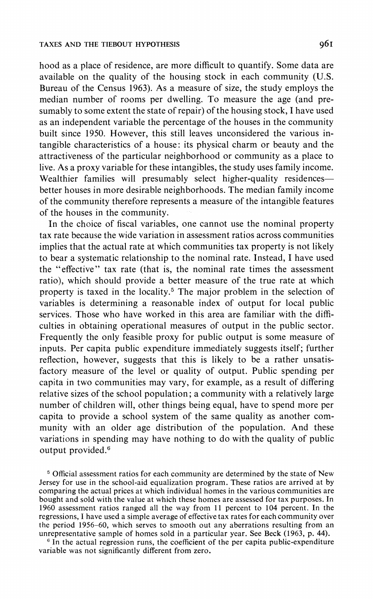hood as a place of residence, are more difficult to quantify. Some data are available on the quality of the housing stock in each community (U.S. Bureau of the Census 1963). As a measure of size, the study employs the median number of rooms per dwelling. To measure the age (and presumably to some extent the state of repair) of the housing stock, I have used as an independent variable the percentage of the houses in the community built since 1950. However, this still leaves unconsidered the various intangible characteristics of a house: its physical charm or beauty and the attractiveness of the particular neighborhood or community as a place to live. As a proxy variable for these intangibles, the study uses family income. Wealthier families will presumably select higher-quality residencesbetter houses in more desirable neighborhoods. The median family income of the community therefore represents a measure of the intangible features of the houses in the community.

In the choice of fiscal variables, one cannot use the nominal property tax rate because the wide variation in assessment ratios across communities implies that the actual rate at which communities tax property is not likely to bear a systematic relationship to the nominal rate. Instead, I have used the "effective" tax rate (that is, the nominal rate times the assessment ratio), which should provide a better measure of the true rate at which property is taxed in the locality.<sup>5</sup> The major problem in the selection of variables is determining a reasonable index of output for local public services. Those who have worked in this area are familiar with the difficulties in obtaining operational measures of output in the public sector. Frequently the only feasible proxy for public output is some measure of inputs. Per capita public expenditure immediately suggests itself; further reflection, however, suggests that this is likely to be a rather unsatisfactory measure of the level or quality of output. Public spending per capita in two communities may vary, for example, as a result of differing relative sizes of the school population; a community with a relatively large number of children will, other things being equal, have to spend more per capita to provide a school system of the same quality as another community with an older age distribution of the population. And these variations in spending may have nothing to do with the quality of public output provided.<sup>6</sup>

<sup>5</sup> Official assessment ratios for each community are determined by the state of New Jersey for use in the school-aid equalization program. These ratios are arrived at by comparing the actual prices at which individual homes in the various communities are bought and sold with the value at which these homes are assessed for tax purposes. In 1960 assessment ratios ranged all the way from 11 percent to 104 percent. In the regressions, I have used a simple average of effective tax rates for each community over the period 1956-60, which serves to smooth out any aberrations resulting from an unrepresentative sample of homes sold in a particular year. See Beck (1963, p. 44).

 $6$  In the actual regression runs, the coefficient of the per capita public-expenditure variable was not significantly different from zero.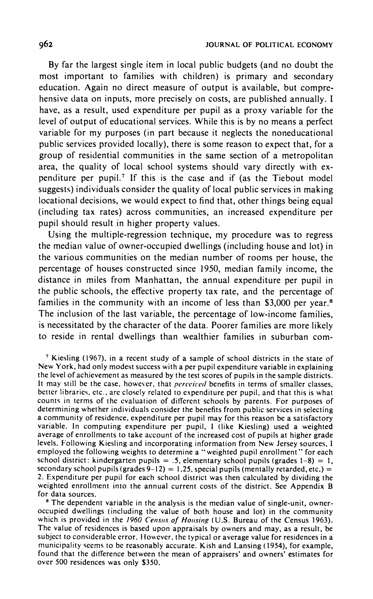By far the largest single item in local public budgets (and no doubt the most important to families with children) is primary and secondary education. Again no direct measure of output is available, but comprehensive data on inputs, more precisely on costs, are published annually. I have, as a result, used expenditure per pupil as a proxy variable for the level of output of educational services. While this is by no means a perfect variable for my purposes (in part because it neglects the noneducational public services provided locally), there is some reason to expect that, for a group of residential communities in the same section of a metropolitan area, the quality of local school systems should vary directly with expenditure per pupil.' If this is the case and if (as the Tiebout model suggests) individuals consider the quality of local public services in making locational decisions, we would expect to find that, other things being equal (including tax rates) across communities, an increased expenditure per pupil should result in higher property values.

Using the multiple-regression technique, my procedure was to regress the median value of owner-occupied dwellings (including house and lot) in the various communities on the median number of rooms per house, the percentage of houses constructed since 1950, median family income, the distance in miles from Manhattan, the annual expenditure per pupil in the public schools, the effective property tax rate, and the percentage of families in the community with an income of less than \$3,000 per year.<sup>8</sup> The inclusion of the last variable, the percentage of low-income families, is necessitated by the character of the data. Poorer families are more likely to reside in rental dwellings than wealthier families in suburban com-

<sup>7</sup> Kiesling (1967), in a recent study of a sample of school districts in the state of New York, had only modest success with a per pupil expenditure variable in explaining the level of achievement as measured by the test scores of pupils in the sample districts. It may still be the case, however, that *perceived* benefits in terms of smaller classes, better libraries, etc.. are closely related to expenditure per pupil, and that this is what counts in terms of the evaluation of different schools by parents. For purposes of determining whether individuals consider the benefits from public services in selecting a community of residence, expenditure per pupil may for this reason be a satisfactory variable. In computing expenditure per pupil, I (like Kiesling) used a weighted average of enrollments to take account of the increased cost of pupils at higher grade levels. Following Kiesling and incorporating information from New Jersey sources, I employed the following weights to determine a "weighted pupil enrollment" for each school district: kindergarten pupils = .5, elementary school pupils (grades  $1-8$ ) = 1, secondary school pupils (grades  $9-12$ ) = 1.25, special pupils (mentally retarded, etc.) = **2.** Expenditure per pupil for each school district was then calculated by dividing the weighted enrollment into the annual current costs of the district. See Appendix B for data sources.

<sup>8</sup> The dependent variable in the analysis is the median value of single-unit, owneroccupied dwellings (including the value of both house and lot) in the community which is provided in the 1960 Census of Housing (U.S. Bureau of the Census 1963). The value of residences is based upon appraisals by owners and may, as a result, be subject to considerable error. However, the typical or average value for residences in a municipality seems to be reasonably accurate. Kish and Lansing (1954), for example, found that the difference between the mean of appraisers' and owners' estimates for over 500 residences was only \$350.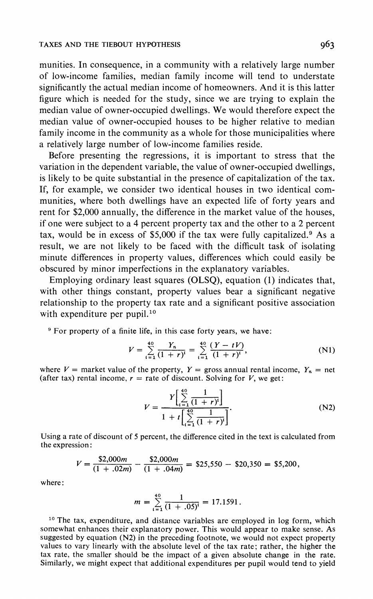munities. In consequence, in a community with a relatively large number of low-income families, median family income will tend to understate significantly the actual median income of homeowners. And it is this latter figure which is needed for the study, since we are trying to explain the median value of owner-occupied dwellings. We would therefore expect the median value of owner-occupied houses to be higher relative to median family income in the community as a whole for those municipalities where a relatively large number of low-income families reside.

Before presenting the regressions, it is important to stress that the variation in the dependent variable, the value of owner-occupied dwellings, is likely to be quite substantial in the presence of capitalization of the tax. If, for example, we consider two identical houses in two identical communities, where both dwellings have an expected life of forty years and rent for \$2,000 annually, the difference in the market value of the houses, if one were subject to a 4 percent property tax and the other to a 2 percent tax, would be in excess of \$5,000 if the tax were fully capitalized. $9$  As a result, we are not likely to be faced with the difficult task of isolating minute differences in property values, differences which could easily be obscured by minor imperfections in the explanatory variables.

Employing ordinary least squares (OLSQ), equation (1) indicates that, with other things constant, property values bear a significant negative relationship to the property tax rate and a significant positive association with expenditure per pupil.<sup>10</sup>

<sup>9</sup> For property of a finite life, in this case forty years, we have:

$$
V = \sum_{i=1}^{40} \frac{Y_n}{(1+r)^i} = \sum_{i=1}^{40} \frac{(Y-tV)}{(1+r)^i},
$$
 (N1)

where  $V =$  market value of the property,  $Y =$  gross annual rental income,  $Y_n =$  net (after tax) rental income,  $r =$  rate of discount. Solving for V, we get:

$$
V = \frac{Y\left[\sum_{i=1}^{40} \frac{1}{(1+r)^i}\right]}{1 + t\left[\sum_{i=1}^{40} \frac{1}{(1+r)^i}\right]}.
$$
 (N2)

Using a rate of discount of 5 percent, the difference cited in the text is calculated from the expression :

$$
V = \frac{\$2,000m}{(1+.02m)} - \frac{\$2,000m}{(1+.04m)} = \$25,550 - \$20,350 = \$5,200,
$$

where :

$$
m = \sum_{i=1}^{40} \frac{1}{(1+.05)^i} = 17.1591.
$$

**'O** The tax, expenditure, and distance variables are employed in log form, which somewhat enhances their explanatory power. This would appear to make sense. As suggested by equation (N2) in the preceding footnote, we would not expect property values to vary linearly with the absolute level of the tax rate; rather, the higher the tax rate, the smaller should be the impact of a given absolute change in the rate. Similarly, we might expect that additional expenditures per pupil would tend to yield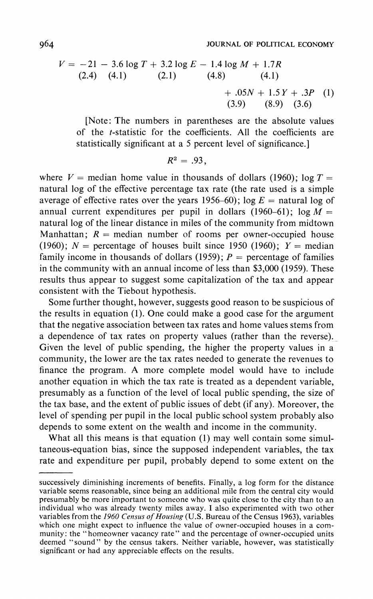$$
V = -21 - 3.6 \log T + 3.2 \log E - 1.4 \log M + 1.7R
$$
  
(2.4) (4.1) (2.1) (4.8) (4.1)  

$$
+ .05N + 1.5Y + .3P
$$
(1)  
(3.9) (8.9) (3.6)

[Note: The numbers in parentheses are the absolute values of the t-statistic for the coefficients. All the coefficients are statistically significant at a 5 percent level of significance.]

$$
R^2=.93,
$$

where  $V =$  median home value in thousands of dollars (1960); log  $T =$ natural log of the effective percentage tax rate (the rate used is a simple average of effective rates over the years 1956-60); log  $E =$  natural log of annual current expenditures per pupil in dollars (1960–61); log  $M =$ natural log of the linear distance in miles of the community from midtown Manhattan;  $R =$  median number of rooms per owner-occupied house (1960);  $N =$  percentage of houses built since 1950 (1960);  $Y =$  median family income in thousands of dollars (1959);  $P =$  percentage of families in the community with an annual income of less than \$3,000 (1959). These results thus appear to suggest some capitalization of the tax and appear consistent with the Tiebout hypothesis.

Some further thought, however, suggests good reason to be suspicious of the results in equation (1). One could make a good case for the argument that the negative association between tax rates and home values stems from a dependence of tax rates on property values (rather than the reverse). Given the level of public spending, the higher the property values in a community, the lower are the tax rates needed to generate the revenues to finance the program. A more complete model would have to include another equation in which the tax rate is treated as a dependent variable, presumably as a function of the level of local public spending, the size of the tax base, and the extent of public issues of debt (if any). Moreover, the level of spending per pupil in the local public school system probably also depends to some extent on the wealth and income in the community.

What all this means is that equation (1) may well contain some simultaneous-equation bias, since the supposed independent variables, the tax rate and expenditure per pupil, probably depend to some extent on the

successively diminishing increments of benefits. Finally, a log form for the distance variable seems reasonable, since being an additional mile from the central city would presumably be more important to someone who was quite close to the city than to an individual who was already twenty miles away. I also experimented with two other variables from the 1960 *Census* of *Housing (U.S.* Bureau of the Census 1963), variables which one might expect to influence the value of owner-occupied houses in a community: the "homeowner vacancy rate" and the percentage of owner-occupied units deemed "sound" by the census takers. Neither variable, however, was statistically significant or had any appreciable effects on the results.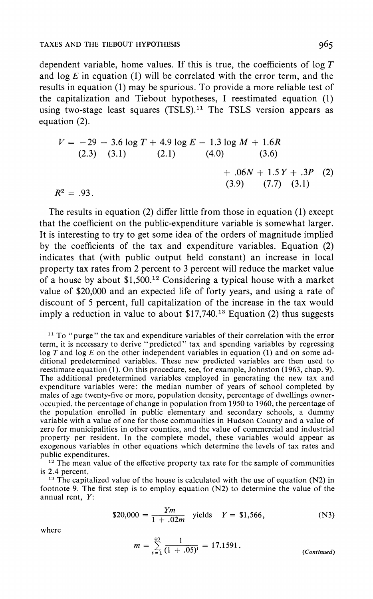dependent variable, home values. If this is true, the coefficients of log  $T$ and  $\log E$  in equation (1) will be correlated with the error term, and the results in equation (1) may be spurious. To provide a more reliable test of the capitalization and Tiebout hypotheses, I reestimated equation (1) using two-stage least squares  $(TSLS).<sup>11</sup>$  The TSLS version appears as equation (2).

$$
V = -29 - 3.6 \log T + 4.9 \log E - 1.3 \log M + 1.6R
$$
  
(2.3) (3.1) (2.1) (4.0) (3.6)  

$$
+ .06N + 1.5Y + .3P
$$
 (2)  

$$
R^2 = .93.
$$

The results in equation (2) differ little from those in equation (1) except that the coefficient on the public-expenditure variable is somewhat larger. It is interesting to try to get some idea of the orders of magnitude implied by the coefficients of the tax and expenditure variables. Equation (2) indicates that (with public output held constant) an increase in local property tax rates from 2 percent to 3 percent will reduce the market value of a house by about \$1,500.12 Considering a typical house with a market value of \$20,000 and an expected life of forty years, and using a rate of discount of 5 percent, full capitalization of the increase in the tax would imply a reduction in value to about  $$17,740<sup>13</sup>$  Equation (2) thus suggests

 $11$  To "purge" the tax and expenditure variables of their correlation with the error term. it is necessary to derive "predicted" tax and spending variables by regressing log T and log E on the other independent variables in equation *(1)* and on some additional predetermined variables. These new predicted variables are then used to reestimate equation *(1).*On this procedure, see, for example, Johnston *(1963,*chap. 9). The additional predetermined variables employed in generating the new tax and expenditure variables were: the median number of years of school completed by males of age twenty-five or more, population density, percentage of dwellings owneroccupied. the percentage of change in population from *1950* to *1960,* the percentage of the population enrolled in public elementary and secondary schools, a dummy variable with a value of one for those communities in Hudson County and a value of zero for municipalities in other counties, and the value of commercial and industrial property per resident. In the complete model, these variables would appear as exogenous variables in other equations which determine the levels of tax rates and public expenditures. *Si* in other counties, and<br>*Yrn* the complete in the complete in other equations wh<br>of the effective propertial in other equations wh<br>of the effective propertial is casted in the same of the house is casted in the same o

<sup>12</sup> The mean value of the effective property tax rate for the sample of communities is *2.4* percent.

**l3** The capitalized value of the house is calculated with the use of equation *(N2)*in footnote *9.* The first step is to employ equation *(N2)* to determine the value of the annual rent, Y:

$$
\$20,000 = \frac{Ym}{1 + .02m} \quad \text{yields} \quad Y = \$1,566, \tag{N3}
$$

where

$$
m = \sum_{i=1}^{40} \frac{1}{(1+.05)^i} = 17.1591.
$$
 (Continued)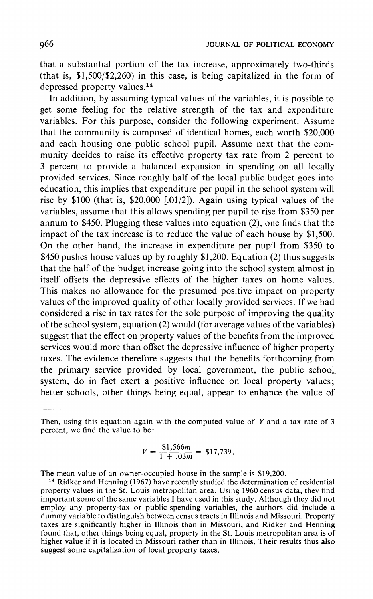that a substantial portion of the tax increase, approximately two-thirds (that is, \$1,500/\$2,260) in this case, is being capitalized in the form of depressed property values.14

In addition, by assuming typical values of the variables, it is possible to get some feeling for the relative strength of the tax and expenditure variables. For this purpose, consider the following experiment. Assume that the community is composed of identical homes, each worth \$20,000 and each housing one public school pupil. Assume next that the community decides to raise its effective property tax rate from 2 percent to 3 percent to provide a balanced expansion in spending on all locally provided services. Since roughly half of the local public budget goes into education, this implies that expenditure per pupil in the school system will rise by \$100 (that is, \$20,000 [.01/2]). Again using typical values of the variables, assume that this allows spending per pupil to rise from \$350 per annum to \$450. Plugging these values into equation (2), one finds that the impact of the tax increase is to reduce the value of each house by \$1,500. On the other hand, the increase in expenditure per pupil from \$350 to \$450 pushes house values up by roughly \$1,200. Equation (2) thus suggests that the half of the budget increase going into the school system almost in itself offsets the depressive effects of the higher taxes on home values. This makes no allowance for the presumed positive impact on property values of the improved quality of other locally provided services. If we had considered a rise in tax rates for the sole purpose of improving the quality of the school system, equation (2) would (for average values of the variables) suggest that the effect on property values of the benefits from the improved services would more than offset the depressive influence of higher property taxes. The evidence therefore suggests that the benefits forthcoming from the primary service provided by local government, the public school system, do in fact exert a positive influence on local property values; better schools, other things being equal, appear to enhance the value of

$$
V = \frac{\$1,566m}{1 + .03m} = \$17,739.
$$

The mean value of an owner-occupied house in the sample is \$19,200.

Then, using this equation again with the computed value of Y and a tax rate of **3**  percent, we find the value to be:

<sup>&</sup>lt;sup>14</sup> Ridker and Henning (1967) have recently studied the determination of residential property values in the St. Louis metropolitan area. Using 1960 census data, they find important some of the same variables I have used in this study. Although they did not employ any property-tax or public-spending variables, the authors did include a dummy variable to distinguish between census tracts in Illinois and Missouri. Property taxes are significantly higher in Illinois than in Missouri, and Ridker and Henning found that, other things being equal, property in the St. Louis metropolitan area is of higher value if it is located in Missouri rather than in Illinois. Their results thus also suggest some capitalization of local property taxes.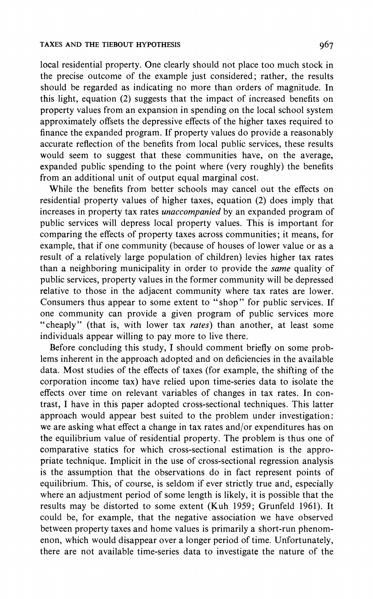local residential property. One clearly should not place too much stock in the precise outcome of the example just considered; rather, the results should be regarded as indicating no more than orders of magnitude. In this light, equation (2) suggests that the impact of increased benefits on property values from an expansion in spending on the local school system approximately offsets the depressive effects of the higher taxes required to finance the expanded program. If property values do provide a reasonably accurate reflection of the benefits from local public services, these results would seem to suggest that these communities have, on the average, expanded public spending to the point where (very roughly) the benefits from an additional unit of output equal marginal cost.

While the benefits from better schools may cancel out the effects on residential property values of higher taxes, equation (2) does imply that increases in property tax rates unaccompanied by an expanded program of public services will depress local property values. This is important for comparing the effects of property taxes across communities; it means, for example, that if one community (because of houses of lower value or as a result of a relatively large population of children) levies higher tax rates than a neighboring municipality in order to provide the same quality of public services, property values in the former community will be depressed relative to those in the adjacent community where tax rates are lower. Consumers thus appear to some extent to "shop" for public services. If one community can provide a given program of public services more "cheaply" (that is, with lower tax rates) than another, at least some individuals appear willing to pay more to live there.

Before concluding this study, I should comment briefly on some problems inherent in the approach adopted and on deficiencies in the available data. Most studies of the effects of taxes (for example, the shifting of the corporation income tax) have relied upon time-series data to isolate the effects over time on relevant variables of changes in tax rates. In contrast, I have in this paper adopted cross-sectional techniques. This latter approach would appear best suited to the problem under investigation: we are asking what effect a change in tax rates and/or expenditures has on the equilibrium value of residential property. The problem is thus one of comparative statics for which cross-sectional estimation is the appropriate technique. Implicit in the use of cross-sectional regression analysis is the assumption that the observations do in fact represent points of equilibrium. This, of course, is seldom if ever strictly true and, especially where an adjustment period of some length is likely, it is possible that the results may be distorted to some extent (Kuh 1959; Grunfeld 1961). It could be, for example, that the negative association we have observed between property taxes and home values is primarily a short-run phenomenon, which would disappear over a longer period of time. Unfortunately, there are not available time-series data to investigate the nature of the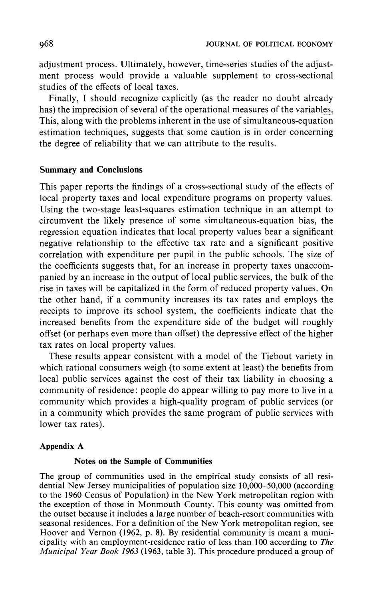adjustment process. Ultimately, however, time-series studies of the adjustment process would provide a valuable supplement to cross-sectional studies of the effects of local taxes.

Finally, I should recognize explicitly (as the reader no doubt already has) the imprecision of several of the operational measures of the variables, This, along with the problems inherent in the use of simultaneous-equation estimation techniques, suggests that some caution is in order concerning the degree of reliability that we can attribute to the results.

### **Summary and Conclusions**

This paper reports the findings of a cross-sectional study of the effects of local property taxes and local expenditure programs on property values. Using the two-stage least-squares estimation technique in an attempt to circumvent the likely presence of some simultaneous-equation bias, the regression equation indicates that local property values bear a significant negative relationship to the effective tax rate and a significant positive correlation with expenditure per pupil in the public schools. The size of the coefficients suggests that, for an increase in property taxes unaccompanied by an increase in the output of local public services, the bulk of the rise in taxes will be capitalized in the form of reduced property values. On the other hand, if a community increases its tax rates and employs the receipts to improve its school system, the coefficients indicate that the increased benefits from the expenditure side of the budget will roughly offset (or perhaps even more than offset) the depressive effect of the higher tax rates on local property values.

These results appear consistent with a model of the Tiebout variety in which rational consumers weigh (to some extent at least) the benefits from local public services against the cost of their tax liability in choosing a community of residence: people do appear willing to pay more to live in a community which provides a high-quality program of public services (or in a community which provides the same program of public services with lower tax rates).

### **Appendix A**

### **Notes on the Sample of Communities**

The group of communities used in the empirical study consists of all residential New Jersey municipalities of population size 10,000-50,000 (according to the 1960 Census of Population) in the New York metropolitan region with the exception of those in Monmouth County. This county was omitted from the outset because it includes a large number of beach-resort communities with seasonal residences. For a definition of the New York metropolitan region, see Hoover and Vernon (1962, p. 8). By residential community is meant a municipality with an employment-residence ratio of less than 100 according to *The Municipal Year Book 1963* (1963, table 3). This procedure produced a group of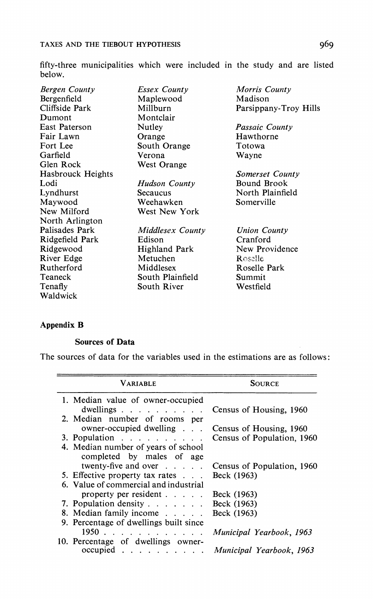fifty-three municipalities which were included in the study and are listed below.

| Bergen County     | Essex County     | Morris County         |
|-------------------|------------------|-----------------------|
| Bergenfield       | Maplewood        | Madison               |
| Cliffside Park    | Millburn         | Parsippany-Troy Hills |
| Dumont            | Montclair        |                       |
| East Paterson     | <b>Nutley</b>    | Passaic County        |
| Fair Lawn         | Orange           | Hawthorne             |
| Fort Lee          | South Orange     | Totowa                |
| Garfield          | Verona           | Wayne                 |
| Glen Rock         | West Orange      |                       |
| Hasbrouck Heights |                  | Somerset County       |
| Lodi              | Hudson County    | Bound Brook           |
| Lyndhurst         | Secaucus         | North Plainfield      |
| Maywood           | Weehawken        | Somerville            |
| New Milford       | West New York    |                       |
| North Arlington   |                  |                       |
| Palisades Park    | Middlesex County | <b>Union County</b>   |
| Ridgefield Park   | Edison           | Cranford              |
| Ridgewood         | Highland Park    | New Providence        |
| River Edge        | Metuchen         | Roselle               |
| Rutherford        | Middlesex        | Roselle Park          |
| Teaneck           | South Plainfield | Summit                |
| Tenafly           | South River      | Westfield             |
| Waldwick          |                  |                       |

## **Appendix B**

## **Sources of Data**

The sources of data for the variables used in the estimations are as follows:

| <b>VARIABLE</b>                                                       | <b>SOURCE</b>              |
|-----------------------------------------------------------------------|----------------------------|
| 1. Median value of owner-occupied                                     |                            |
| dwellings $\ldots$ $\ldots$ $\ldots$<br>2. Median number of rooms per | Census of Housing, 1960    |
| owner-occupied dwelling                                               | Census of Housing, 1960    |
| 3. Population $\ldots$ $\ldots$ $\ldots$ $\ldots$                     | Census of Population, 1960 |
| 4. Median number of years of school                                   |                            |
| completed by males of age                                             |                            |
| twenty-five and over $\ldots$                                         | Census of Population, 1960 |
| 5. Effective property tax rates                                       | Beck (1963)                |
| 6. Value of commercial and industrial                                 |                            |
| property per resident                                                 | Beck (1963)                |
| 7. Population density                                                 | Beck (1963)                |
| 8. Median family income                                               | Beck (1963)                |
| 9. Percentage of dwellings built since                                |                            |
| 1950.                                                                 | Municipal Yearbook, 1963   |
| 10. Percentage of dwellings owner-                                    |                            |
| $occupied \dots \dots \dots$                                          | Municipal Yearbook, 1963   |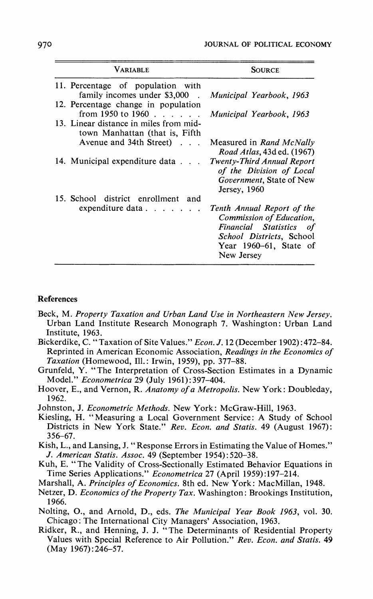| <b>VARIABLE</b>                                                          | Source                                                                                                                                                   |  |
|--------------------------------------------------------------------------|----------------------------------------------------------------------------------------------------------------------------------------------------------|--|
| 11. Percentage of population with<br>family incomes under \$3,000.       | Municipal Yearbook, 1963                                                                                                                                 |  |
| 12. Percentage change in population<br>from 1950 to 1960 $\ldots$        | Municipal Yearbook, 1963                                                                                                                                 |  |
| 13. Linear distance in miles from mid-<br>town Manhattan (that is, Fifth |                                                                                                                                                          |  |
| Avenue and 34th Street)                                                  | Measured in Rand McNally<br><i>Road Atlas</i> , 43d ed. (1967)                                                                                           |  |
| 14. Municipal expenditure data.                                          | Twenty-Third Annual Report<br>of the Division of Local<br><i>Government</i> , State of New<br>Jersey, 1960                                               |  |
| 15. School district enrollment and                                       |                                                                                                                                                          |  |
| expenditure data.                                                        | Tenth Annual Report of the<br>Commission of Education,<br>Financial Statistics of<br>School Districts, School<br>Year $1960-61$ , State of<br>New Jersey |  |

#### **References**

- Beck, M. *Property Taxation and Urban Land Use in Northeastern New Jersey.*  Urban Land Institute Research Monograph 7. Washington: Urban Land Institute, 1963.
- Bickerdike, C. "Taxation of Site Values." *Econ. J.* 12 (December 1902): 472-84. Reprinted in American Economic Association, *Readings in the Economics of Taxation* (Homewood, Ill.: Irwin, 1959), pp. 377-88.
- Grunfeld, Y. "The Interpretation of Cross-Section Estimates in a Dynamic Model." *Econometrica* 29 (July 1961) :397-404.
- Hoover, E., and Vernon, R. Anatomy of a Metropolis. New York: Doubleday, 1962.
- Johnston, J. *Econometric Methods.* New York: McGraw-Hill, 1963.
- Kiesling, H. "Measuring a Local Government Service: A Study of School Districts in New York State." *Rev. Econ. and Statis.* 49 (August 1967): 356-67.
- Kish, L., and Lansing, J. "Response Errors in Estimating the Value of Homes." J. *American Statis. Assoc.* 49 (September 1954): 520-38.
- Kuh, E. "The Validity of Cross-Sectionally Estimated Behavior Equations in Time Series Applications." *Econometrica* 27 (April 1959):197-214.
- Marshall, A. *Principles of Economics.* 8th ed. New York: MacMillan, 1948.
- Netzer, D. *Economics of the Property Tax.* Washington: Brookings Institution, 1966.
- Nolting, O., and Arnold, D., eds. *The Municipal Year Book 1963,* vol. 30. Chicago : The International City Managers' Association, 1963.
- Ridker, R., and Henning, J. J. "The Determinants of Residential Property Values with Special Reference to Air Pollution." *Rev. Econ, and Statis.* 49 (May 1967): 246-57.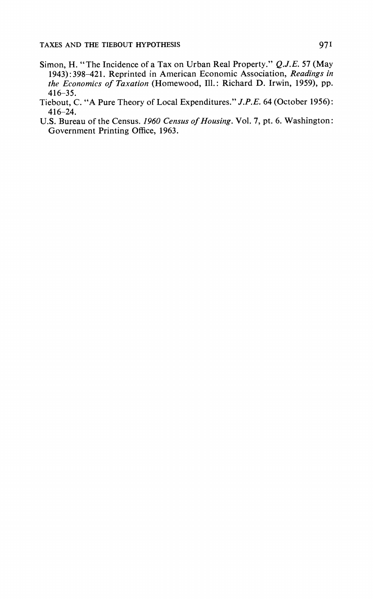- Simon, H. "The Incidence of a Tax on Urban Real Property." Q.J.E.57 (May 1943):398-421. Reprinted in American Economic Association, *Readings in the Economics of Taxation* (Homewood, Ill.: Richard D. Irwin, 1959), pp. 416-35.
- Tiebout, C. "A Pure Theory of Local Expenditures." J.P.E. 64 (October 1956): 416-24.
- U.S. Bureau of the Census. 1960 *Census of Housing.* Vol. 7, pt. 6. Washington: Government Printing Office, 1963.